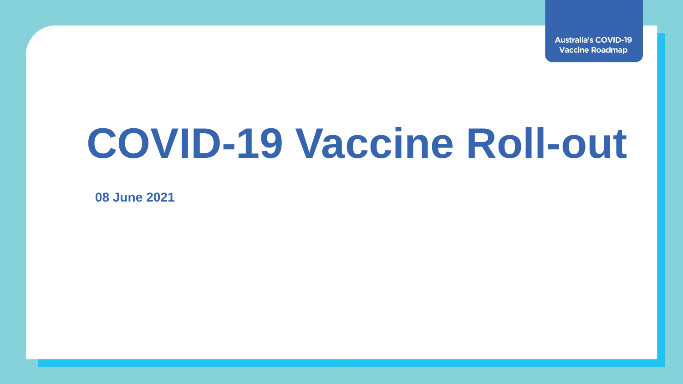**Australia's COVID-19 Vaccine Roadmap** 

# **COVID-19 Vaccine Roll-out**

**08 June 2021**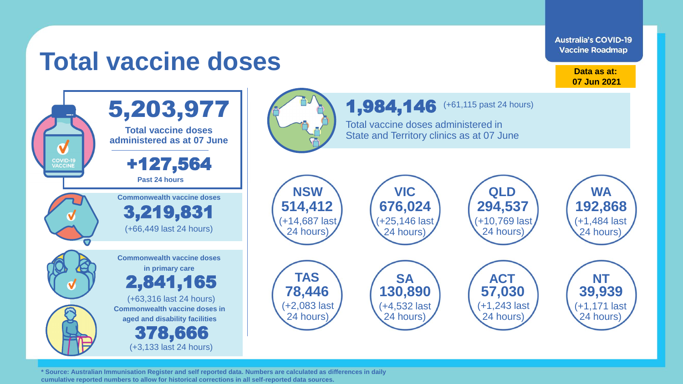**Australia's COVID-19 Vaccine Roadmap** 

# **Total vaccine doses**

**Data as at: 07 Jun 2021**

> (+1,484 last 24 hours)

> (+1,171 last 24 hours)



**\* Source: Australian Immunisation Register and self reported data. Numbers are calculated as differences in daily cumulative reported numbers to allow for historical corrections in all self-reported data sources.**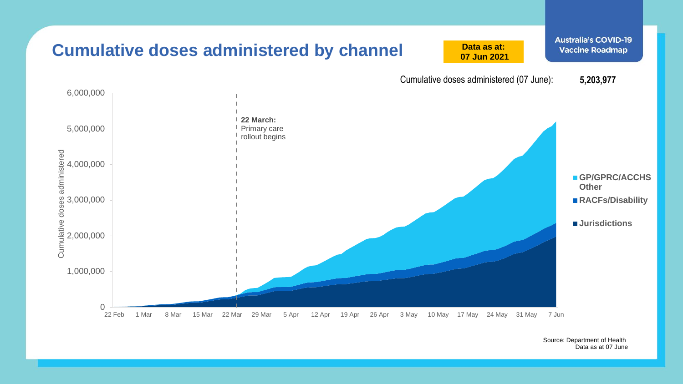

Source: Department of Health Data as at 07 June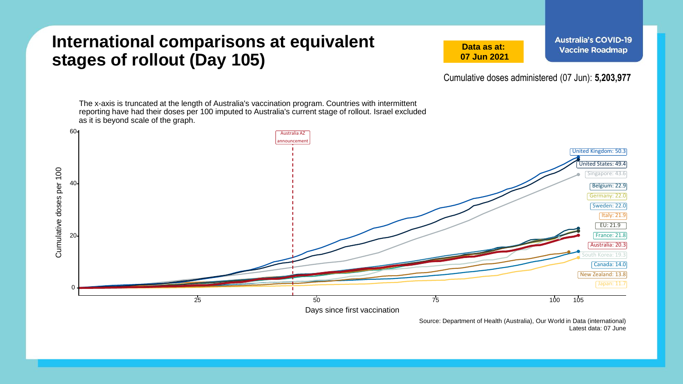#### **International comparisons at equivalent stages of rollout (Day 105)**

**Data as at: 07 Jun 2021** **Australia's COVID-19 Vaccine Roadmap** 

Cumulative doses administered (07 Jun): **5,203,977**

The x-axis is truncated at the length of Australia's vaccination program. Countries with intermittent reporting have had their doses per 100 imputed to Australia's current stage of rollout. Israel excluded as it is beyond scale of the graph.



Source: Department of Health (Australia), Our World in Data (international) Latest data: 07 June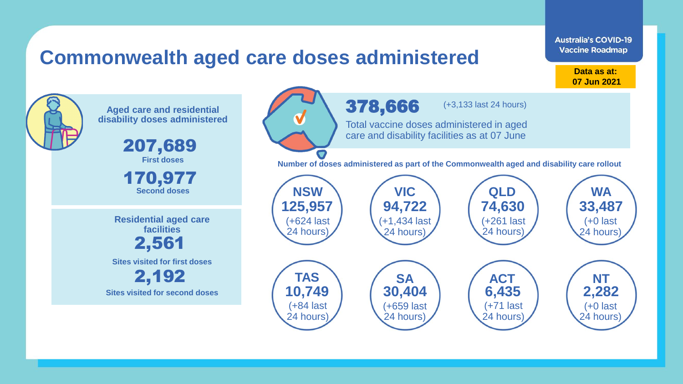### **Commonwealth aged care doses administered**

**Data as at: Data as at: 18 Apr 2021 07 Jun 2021**